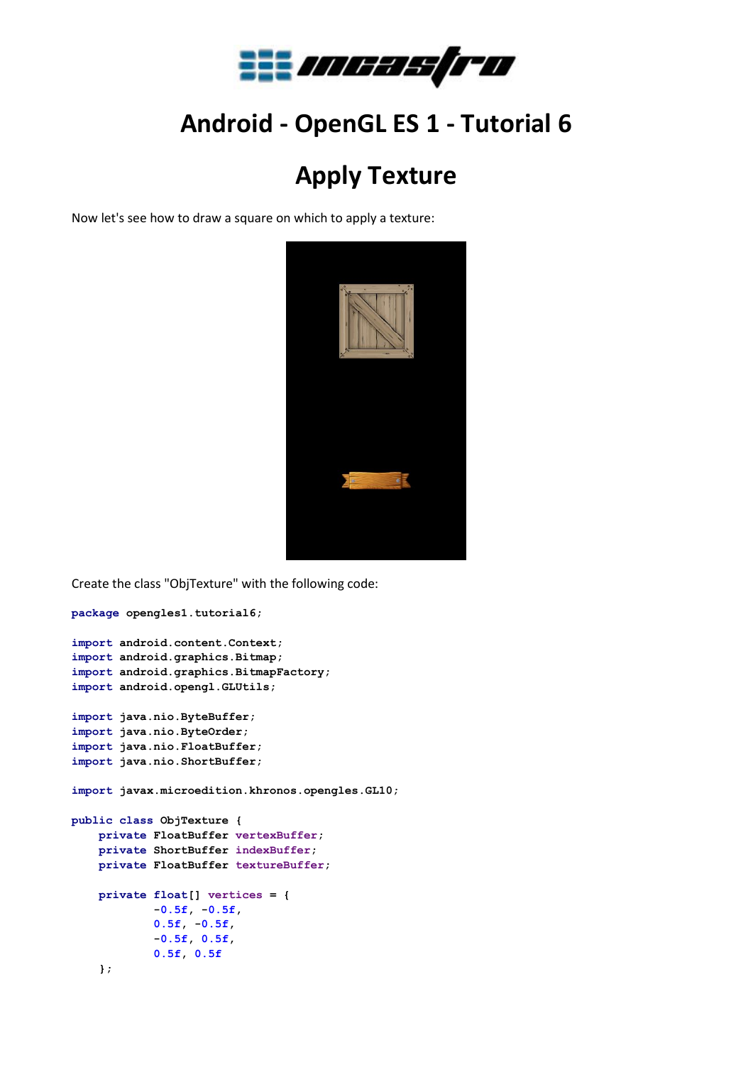

## **Android - OpenGL ES 1 - Tutorial 6**

## **Apply Texture**

Now let's see how to draw a square on which to apply a texture:



```
Create the class "ObjTexture" with the following code:
package opengles1.tutorial6;
import android.content.Context;
import android.graphics.Bitmap;
import android.graphics.BitmapFactory;
import android.opengl.GLUtils;
import java.nio.ByteBuffer;
import java.nio.ByteOrder;
import java.nio.FloatBuffer;
import java.nio.ShortBuffer;
import javax.microedition.khronos.opengles.GL10;
public class ObjTexture {
     private FloatBuffer vertexBuffer;
     private ShortBuffer indexBuffer;
     private FloatBuffer textureBuffer;
     private float[] vertices = {
             -0.5f, -0.5f,
             0.5f, -0.5f,
             -0.5f, 0.5f,
             0.5f, 0.5f
     };
```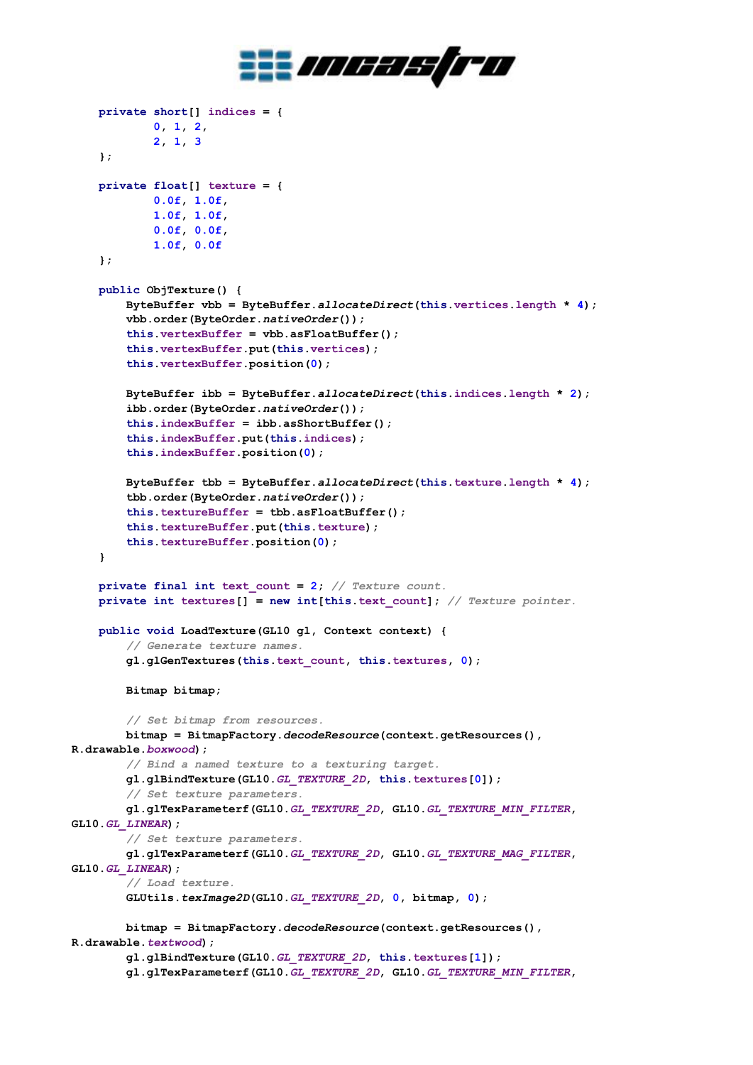

```
 private short[] indices = {
             0, 1, 2,
             2, 1, 3
     };
     private float[] texture = {
             0.0f, 1.0f,
             1.0f, 1.0f,
             0.0f, 0.0f,
             1.0f, 0.0f
     };
     public ObjTexture() {
         ByteBuffer vbb = ByteBuffer.allocateDirect(this.vertices.length * 4);
         vbb.order(ByteOrder.nativeOrder());
         this.vertexBuffer = vbb.asFloatBuffer();
         this.vertexBuffer.put(this.vertices);
         this.vertexBuffer.position(0);
         ByteBuffer ibb = ByteBuffer.allocateDirect(this.indices.length * 2);
         ibb.order(ByteOrder.nativeOrder());
         this.indexBuffer = ibb.asShortBuffer();
         this.indexBuffer.put(this.indices);
         this.indexBuffer.position(0);
         ByteBuffer tbb = ByteBuffer.allocateDirect(this.texture.length * 4);
         tbb.order(ByteOrder.nativeOrder());
         this.textureBuffer = tbb.asFloatBuffer();
         this.textureBuffer.put(this.texture);
         this.textureBuffer.position(0);
     }
     private final int text_count = 2; // Texture count.
     private int textures[] = new int[this.text_count]; // Texture pointer.
     public void LoadTexture(GL10 gl, Context context) {
         // Generate texture names.
         gl.glGenTextures(this.text_count, this.textures, 0);
         Bitmap bitmap;
         // Set bitmap from resources.
         bitmap = BitmapFactory.decodeResource(context.getResources(), 
R.drawable.boxwood);
         // Bind a named texture to a texturing target.
         gl.glBindTexture(GL10.GL_TEXTURE_2D, this.textures[0]);
         // Set texture parameters.
         gl.glTexParameterf(GL10.GL_TEXTURE_2D, GL10.GL_TEXTURE_MIN_FILTER, 
GL10.GL_LINEAR);
         // Set texture parameters.
         gl.glTexParameterf(GL10.GL_TEXTURE_2D, GL10.GL_TEXTURE_MAG_FILTER, 
GL10.GL_LINEAR);
         // Load texture.
         GLUtils.texImage2D(GL10.GL_TEXTURE_2D, 0, bitmap, 0);
         bitmap = BitmapFactory.decodeResource(context.getResources(), 
R.drawable.textwood);
         gl.glBindTexture(GL10.GL_TEXTURE_2D, this.textures[1]);
         gl.glTexParameterf(GL10.GL_TEXTURE_2D, GL10.GL_TEXTURE_MIN_FILTER,
```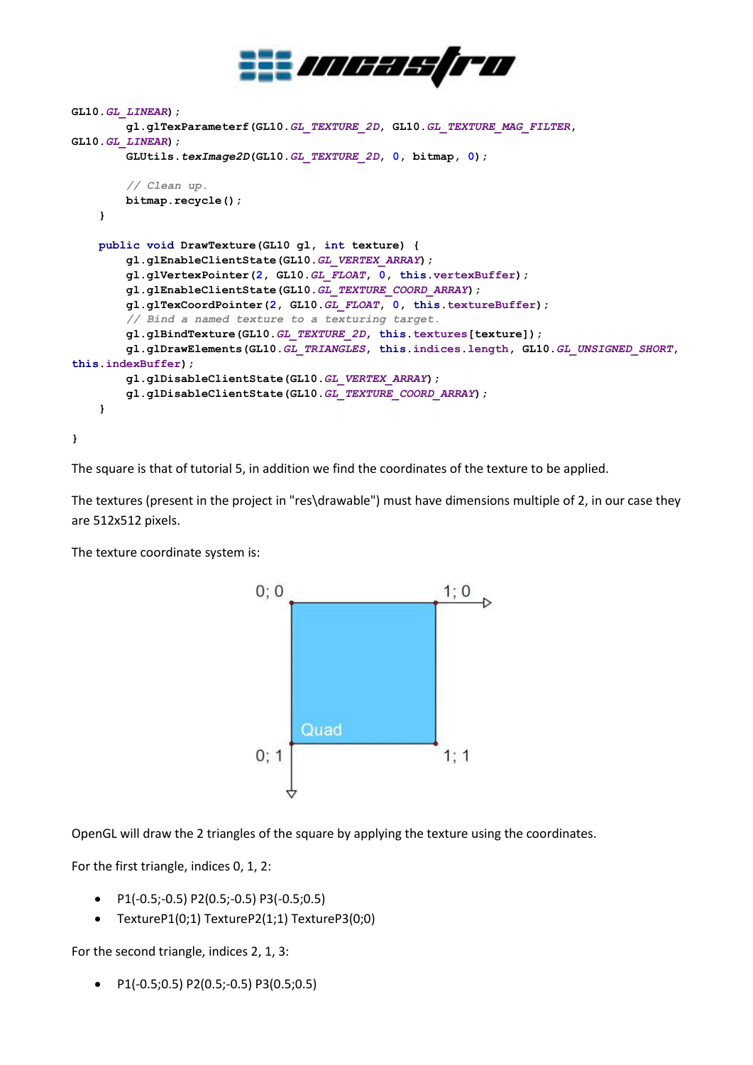

```
GL10.GL_LINEAR);
         gl.glTexParameterf(GL10.GL_TEXTURE_2D, GL10.GL_TEXTURE_MAG_FILTER, 
GL10.GL_LINEAR);
         GLUtils.texImage2D(GL10.GL_TEXTURE_2D, 0, bitmap, 0);
         // Clean up.
         bitmap.recycle();
     }
     public void DrawTexture(GL10 gl, int texture) {
         gl.glEnableClientState(GL10.GL_VERTEX_ARRAY);
         gl.glVertexPointer(2, GL10.GL_FLOAT, 0, this.vertexBuffer);
         gl.glEnableClientState(GL10.GL_TEXTURE_COORD_ARRAY);
         gl.glTexCoordPointer(2, GL10.GL_FLOAT, 0, this.textureBuffer);
         // Bind a named texture to a texturing target.
         gl.glBindTexture(GL10.GL_TEXTURE_2D, this.textures[texture]);
         gl.glDrawElements(GL10.GL_TRIANGLES, this.indices.length, GL10.GL_UNSIGNED_SHORT, 
this.indexBuffer);
         gl.glDisableClientState(GL10.GL_VERTEX_ARRAY);
         gl.glDisableClientState(GL10.GL_TEXTURE_COORD_ARRAY);
     }
}
```
The square is that of tutorial 5, in addition we find the coordinates of the texture to be applied.

The textures (present in the project in "res\drawable") must have dimensions multiple of 2, in our case they are 512x512 pixels.

The texture coordinate system is:



OpenGL will draw the 2 triangles of the square by applying the texture using the coordinates.

For the first triangle, indices 0, 1, 2:

- P1(-0.5;-0.5) P2(0.5;-0.5) P3(-0.5;0.5)
- TextureP1(0;1) TextureP2(1;1) TextureP3(0;0)

For the second triangle, indices 2, 1, 3:

P1(-0.5;0.5) P2(0.5;-0.5) P3(0.5;0.5)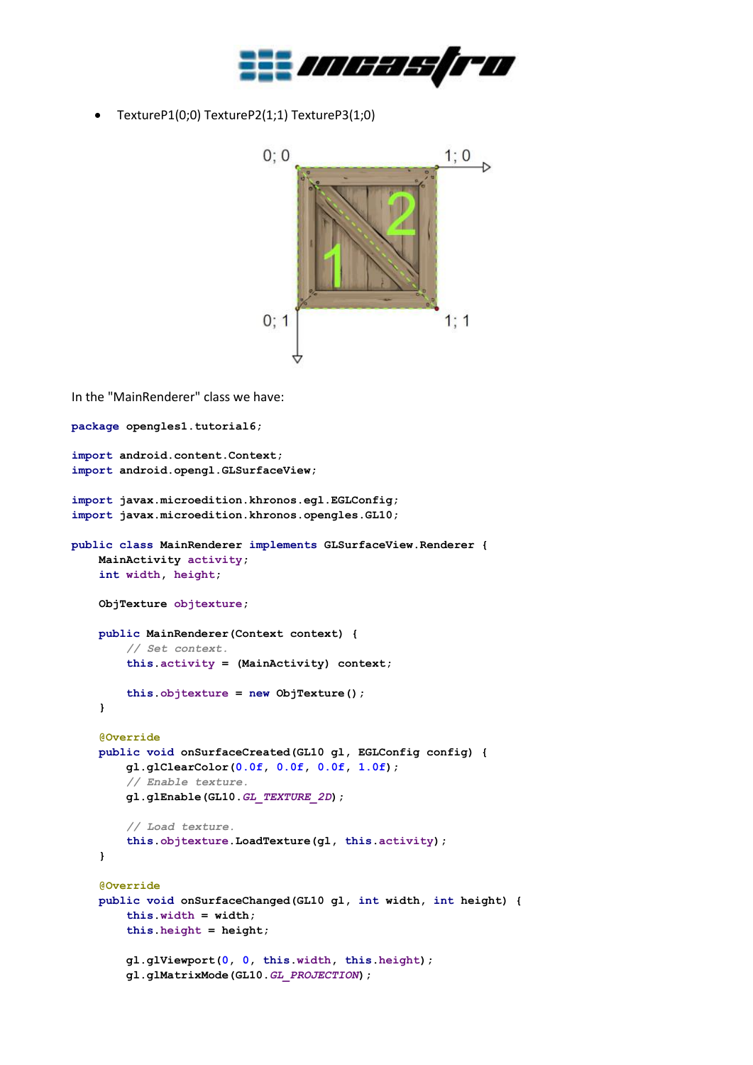

TextureP1(0;0) TextureP2(1;1) TextureP3(1;0)



In the "MainRenderer" class we have:

```
package opengles1.tutorial6;
import android.content.Context;
import android.opengl.GLSurfaceView;
import javax.microedition.khronos.egl.EGLConfig;
import javax.microedition.khronos.opengles.GL10;
public class MainRenderer implements GLSurfaceView.Renderer {
     MainActivity activity;
     int width, height;
     ObjTexture objtexture;
     public MainRenderer(Context context) {
         // Set context.
         this.activity = (MainActivity) context;
         this.objtexture = new ObjTexture();
     }
     @Override
     public void onSurfaceCreated(GL10 gl, EGLConfig config) {
         gl.glClearColor(0.0f, 0.0f, 0.0f, 1.0f);
         // Enable texture.
         gl.glEnable(GL10.GL_TEXTURE_2D);
         // Load texture.
         this.objtexture.LoadTexture(gl, this.activity);
     }
     @Override
     public void onSurfaceChanged(GL10 gl, int width, int height) {
         this.width = width;
         this.height = height;
         gl.glViewport(0, 0, this.width, this.height);
         gl.glMatrixMode(GL10.GL_PROJECTION);
```